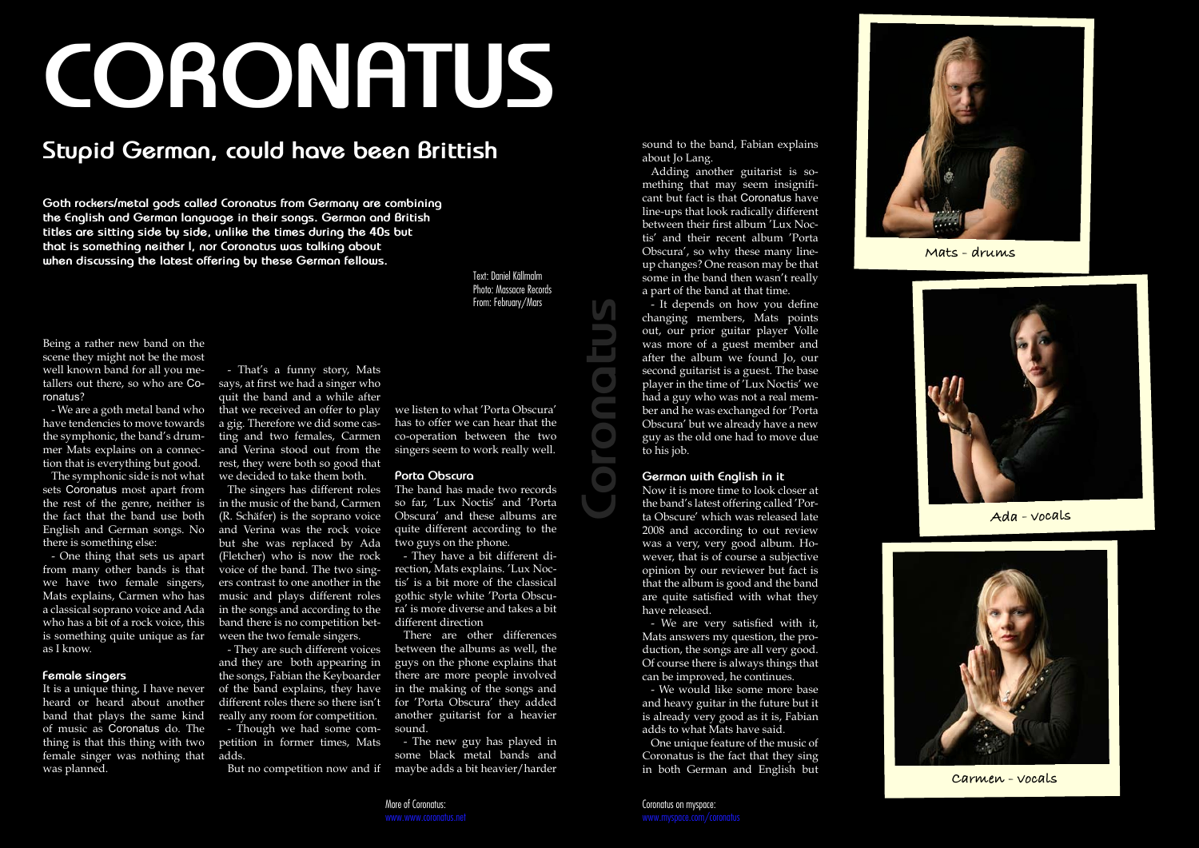**Coronatus**





Being a rather new band on the scene they might not be the most well known band for all you metallers out there, so who are Coronatus?

- We are a goth metal band who have tendencies to move towards the symphonic, the band's drummer Mats explains on a connection that is everything but good.

The symphonic side is not what sets Coronatus most apart from the rest of the genre, neither is the fact that the band use both English and German songs. No there is something else:

**Goth rockers/metal gods called Coronatus from Germany are combining the English and German language in their songs. German and British titles are sitting side by side, unlike the times during the 40s but that is something neither I, nor Coronatus was talking about**  Lift is something nettined it, not coronates was taining about<br> **when discussing the latest offering by these German fellows.** The mature of the conduction of the many be that **Mats - drums** 

- One thing that sets us apart from many other bands is that we have two female singers, Mats explains, Carmen who has a classical soprano voice and Ada who has a bit of a rock voice, this is something quite unique as far as I know.

#### **Female singers**

It is a unique thing, I have never heard or heard about another band that plays the same kind of music as Coronatus do. The thing is that this thing with two female singer was nothing that was planned.

# **CORONATUS**

## **Stupid German, could have been Brittish**

**Ada - vocals**



**Carmen - vocals**

- That's a funny story, Mats says, at first we had a singer who quit the band and a while after that we received an offer to play a gig. Therefore we did some casting and two females, Carmen and Verina stood out from the rest, they were both so good that we decided to take them both.

The singers has different roles in the music of the band, Carmen (R. Schäfer) is the soprano voice and Verina was the rock voice but she was replaced by Ada (Fletcher) who is now the rock voice of the band. The two singers contrast to one another in the music and plays different roles in the songs and according to the band there is no competition between the two female singers.

- They are such different voices and they are both appearing in the songs, Fabian the Keyboarder of the band explains, they have different roles there so there isn't really any room for competition.

- Though we had some competition in former times, Mats adds.

But no competition now and if

we listen to what 'Porta Obscura' has to offer we can hear that the co-operation between the two singers seem to work really well.

#### **Porta Obscura**

The band has made two records so far, 'Lux Noctis' and 'Porta Obscura' and these albums are quite different according to the two guys on the phone.

- They have a bit different direction, Mats explains. 'Lux Noctis' is a bit more of the classical gothic style white 'Porta Obscura' is more diverse and takes a bit different direction

There are other differences between the albums as well, the guys on the phone explains that there are more people involved in the making of the songs and for 'Porta Obscura' they added another guitarist for a heavier sound.

- The new guy has played in some black metal bands and maybe adds a bit heavier/harder

sound to the band, Fabian explains about Jo Lang.

Adding another guitarist is something that may seem insignificant but fact is that Coronatus have line-ups that look radically different between their first album 'Lux Noctis' and their recent album 'Porta Obscura', so why these many lineup changes? One reason may be that some in the band then wasn't really a part of the band at that time.

- It depends on how you define changing members, Mats points out, our prior guitar player Volle was more of a guest member and after the album we found Jo, our second guitarist is a guest. The base player in the time of 'Lux Noctis' we had a guy who was not a real member and he was exchanged for 'Porta Obscura' but we already have a new guy as the old one had to move due to his job.

#### **German with English in it**

Now it is more time to look closer at the band's latest offering called 'Porta Obscure' which was released late 2008 and according to out review was a very, very good album. However, that is of course a subjective opinion by our reviewer but fact is that the album is good and the band are quite satisfied with what they have released.

- We are very satisfied with it, Mats answers my question, the production, the songs are all very good. Of course there is always things that can be improved, he continues.

- We would like some more base and heavy guitar in the future but it is already very good as it is, Fabian adds to what Mats have said.

One unique feature of the music of Coronatus is the fact that they sing in both German and English but

Text: Daniel Källmalm Photo: Massacre Records From: February/Mars